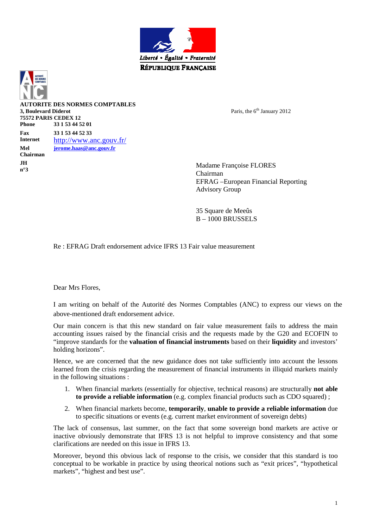



**ORITE DES NORMES COMPTABLES 3, Boulevard Diderot 75572 PARIS CEDEX 12 Phone 33 1 53 44 52 01 Fax 33 1 53 44 52 33 Internet** http://www.anc.gouv.fr/ **Mel jerome.haas@anc.gouv.fr Chairman JH n°3** Madame Françoise FLORES

Paris, the 6<sup>th</sup> January 2012

Chairman EFRAG –European Financial Reporting Advisory Group

35 Square de Meeûs  $B = 1000$  BRUSSELS

Re : EFRAG Draft endorsement advice IFRS 13 Fair value measurement

Dear Mrs Flores,

I am writing on behalf of the Autorité des Normes Comptables (ANC) to express our views on the above-mentioned draft endorsement advice.

Our main concern is that this new standard on fair value measurement fails to address the main accounting issues raised by the financial crisis and the requests made by the G20 and ECOFIN to "improve standards for the **valuation of financial instruments** based on their **liquidity** and investors' holding horizons".

Hence, we are concerned that the new guidance does not take sufficiently into account the lessons learned from the crisis regarding the measurement of financial instruments in illiquid markets mainly in the following situations :

- 1. When financial markets (essentially for objective, technical reasons) are structurally **not able to provide a reliable information** (e.g. complex financial products such as CDO squared) ;
- 2. When financial markets become, **temporarily**, **unable to provide a reliable information** due to specific situations or events (e.g. current market environment of sovereign debts)

The lack of consensus, last summer, on the fact that some sovereign bond markets are active or inactive obviously demonstrate that IFRS 13 is not helpful to improve consistency and that some clarifications are needed on this issue in IFRS 13.

Moreover, beyond this obvious lack of response to the crisis, we consider that this standard is too conceptual to be workable in practice by using theorical notions such as "exit prices", "hypothetical markets", "highest and best use".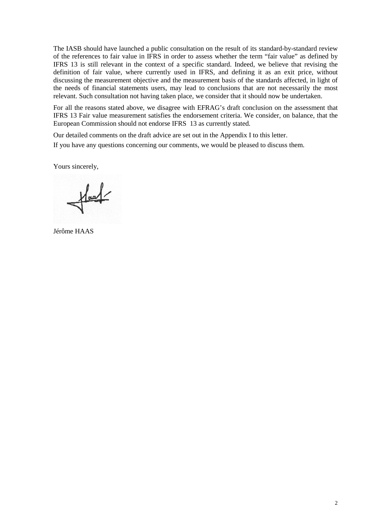The IASB should have launched a public consultation on the result of its standard-by-standard review of the references to fair value in IFRS in order to assess whether the term "fair value" as defined by IFRS 13 is still relevant in the context of a specific standard. Indeed, we believe that revising the definition of fair value, where currently used in IFRS, and defining it as an exit price, without discussing the measurement objective and the measurement basis of the standards affected, in light of the needs of financial statements users, may lead to conclusions that are not necessarily the most relevant. Such consultation not having taken place, we consider that it should now be undertaken.

For all the reasons stated above, we disagree with EFRAG's draft conclusion on the assessment that IFRS 13 Fair value measurement satisfies the endorsement criteria. We consider, on balance, that the European Commission should not endorse IFRS 13 as currently stated.

Our detailed comments on the draft advice are set out in the Appendix I to this letter. If you have any questions concerning our comments, we would be pleased to discuss them.

Yours sincerely,

 $H =$ 

Jérôme HAAS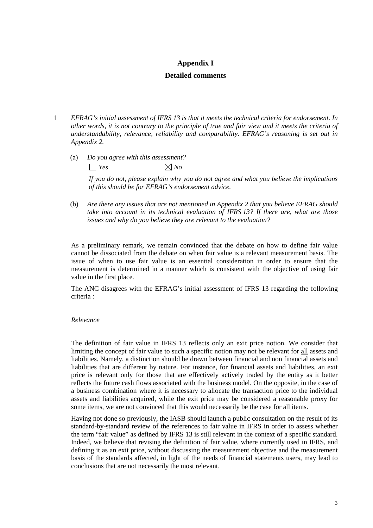# **Appendix I**

## **Detailed comments**

- 1 *EFRAG's initial assessment of IFRS 13 is that it meets the technical criteria for endorsement. In other words, it is not contrary to the principle of true and fair view and it meets the criteria of understandability, relevance, reliability and comparability. EFRAG's reasoning is set out in Appendix 2.* 
	- (a) *Do you agree with this assessment?*   $\Box$  *Yes*  $\Box$  *Yo*

*If you do not, please explain why you do not agree and what you believe the implications of this should be for EFRAG's endorsement advice.* 

(b) *Are there any issues that are not mentioned in Appendix 2 that you believe EFRAG should take into account in its technical evaluation of IFRS 13? If there are, what are those issues and why do you believe they are relevant to the evaluation?* 

As a preliminary remark, we remain convinced that the debate on how to define fair value cannot be dissociated from the debate on when fair value is a relevant measurement basis. The issue of when to use fair value is an essential consideration in order to ensure that the measurement is determined in a manner which is consistent with the objective of using fair value in the first place.

The ANC disagrees with the EFRAG's initial assessment of IFRS 13 regarding the following criteria :

### *Relevance*

The definition of fair value in IFRS 13 reflects only an exit price notion. We consider that limiting the concept of fair value to such a specific notion may not be relevant for all assets and liabilities. Namely, a distinction should be drawn between financial and non financial assets and liabilities that are different by nature. For instance, for financial assets and liabilities, an exit price is relevant only for those that are effectively actively traded by the entity as it better reflects the future cash flows associated with the business model. On the opposite, in the case of a business combination where it is necessary to allocate the transaction price to the individual assets and liabilities acquired, while the exit price may be considered a reasonable proxy for some items, we are not convinced that this would necessarily be the case for all items.

Having not done so previously, the IASB should launch a public consultation on the result of its standard-by-standard review of the references to fair value in IFRS in order to assess whether the term "fair value" as defined by IFRS 13 is still relevant in the context of a specific standard. Indeed, we believe that revising the definition of fair value, where currently used in IFRS, and defining it as an exit price, without discussing the measurement objective and the measurement basis of the standards affected, in light of the needs of financial statements users, may lead to conclusions that are not necessarily the most relevant.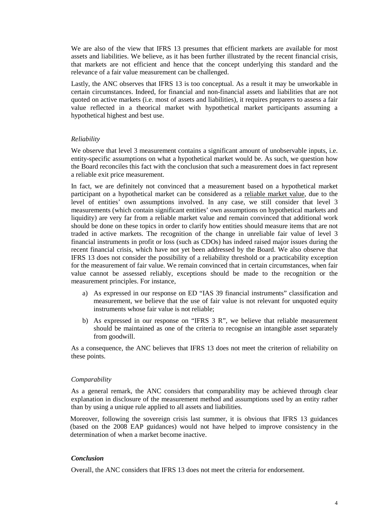We are also of the view that IFRS 13 presumes that efficient markets are available for most assets and liabilities. We believe, as it has been further illustrated by the recent financial crisis, that markets are not efficient and hence that the concept underlying this standard and the relevance of a fair value measurement can be challenged.

Lastly, the ANC observes that IFRS 13 is too conceptual. As a result it may be unworkable in certain circumstances. Indeed, for financial and non-financial assets and liabilities that are not quoted on active markets (i.e. most of assets and liabilities), it requires preparers to assess a fair value reflected in a theorical market with hypothetical market participants assuming a hypothetical highest and best use.

### *Reliability*

We observe that level 3 measurement contains a significant amount of unobservable inputs, i.e. entity-specific assumptions on what a hypothetical market would be. As such, we question how the Board reconciles this fact with the conclusion that such a measurement does in fact represent a reliable exit price measurement.

In fact, we are definitely not convinced that a measurement based on a hypothetical market participant on a hypothetical market can be considered as a reliable market value, due to the level of entities' own assumptions involved. In any case, we still consider that level 3 measurements (which contain significant entities' own assumptions on hypothetical markets and liquidity) are very far from a reliable market value and remain convinced that additional work should be done on these topics in order to clarify how entities should measure items that are not traded in active markets. The recognition of the change in unreliable fair value of level 3 financial instruments in profit or loss (such as CDOs) has indeed raised major issues during the recent financial crisis, which have not yet been addressed by the Board. We also observe that IFRS 13 does not consider the possibility of a reliability threshold or a practicability exception for the measurement of fair value. We remain convinced that in certain circumstances, when fair value cannot be assessed reliably, exceptions should be made to the recognition or the measurement principles. For instance,

- a) As expressed in our response on ED "IAS 39 financial instruments" classification and measurement, we believe that the use of fair value is not relevant for unquoted equity instruments whose fair value is not reliable;
- b) As expressed in our response on "IFRS 3 R", we believe that reliable measurement should be maintained as one of the criteria to recognise an intangible asset separately from goodwill.

As a consequence, the ANC believes that IFRS 13 does not meet the criterion of reliability on these points.

### *Comparability*

As a general remark, the ANC considers that comparability may be achieved through clear explanation in disclosure of the measurement method and assumptions used by an entity rather than by using a unique rule applied to all assets and liabilities.

Moreover, following the sovereign crisis last summer, it is obvious that IFRS 13 guidances (based on the 2008 EAP guidances) would not have helped to improve consistency in the determination of when a market become inactive.

### *Conclusion*

Overall, the ANC considers that IFRS 13 does not meet the criteria for endorsement.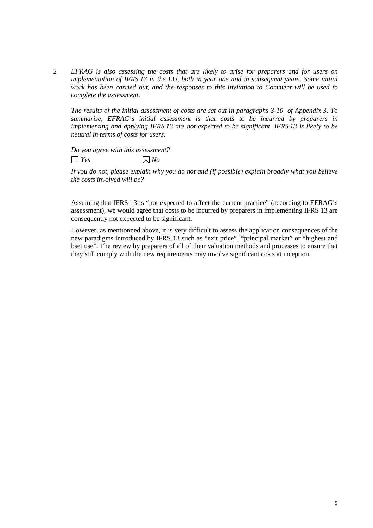2 *EFRAG is also assessing the costs that are likely to arise for preparers and for users on implementation of IFRS 13 in the EU, both in year one and in subsequent years. Some initial work has been carried out, and the responses to this Invitation to Comment will be used to complete the assessment.* 

*The results of the initial assessment of costs are set out in paragraphs 3-10 of Appendix 3. To summarise, EFRAG's initial assessment is that costs to be incurred by preparers in implementing and applying IFRS 13 are not expected to be significant. IFRS 13 is likely to be neutral in terms of costs for users.* 

*Do you agree with this assessment?*   $\Box$  *Yes*  $\boxtimes$  *No* 

*If you do not, please explain why you do not and (if possible) explain broadly what you believe the costs involved will be?* 

Assuming that IFRS 13 is "not expected to affect the current practice" (according to EFRAG's assessment), we would agree that costs to be incurred by preparers in implementing IFRS 13 are consequently not expected to be significant.

However, as mentionned above, it is very difficult to assess the application consequences of the new paradigms introduced by IFRS 13 such as "exit price", "principal market" or "highest and bset use". The review by preparers of all of their valuation methods and processes to ensure that they still comply with the new requirements may involve significant costs at inception.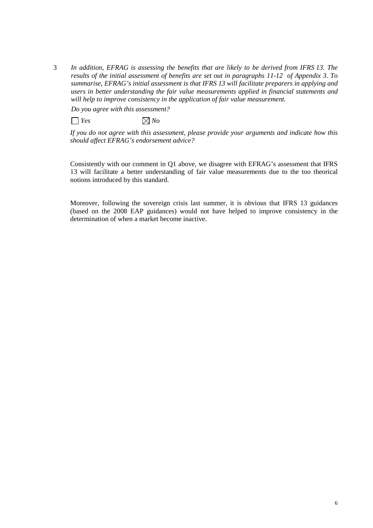3 *In addition, EFRAG is assessing the benefits that are likely to be derived from IFRS 13. The results of the initial assessment of benefits are set out in paragraphs 11-12 of Appendix 3. To summarise, EFRAG's initial assessment is that IFRS 13 will facilitate preparers in applying and users in better understanding the fair value measurements applied in financial statements and will help to improve consistency in the application of fair value measurement.* 

*Do you agree with this assessment?* 

 $\Box$  *Yes*  $\Box$  *Yo* 

*If you do not agree with this assessment, please provide your arguments and indicate how this should affect EFRAG's endorsement advice?* 

Consistently with our comment in Q1 above, we disagree with EFRAG's assessment that IFRS 13 will facilitate a better understanding of fair value measurements due to the too theorical notions introduced by this standard.

Moreover, following the sovereign crisis last summer, it is obvious that IFRS 13 guidances (based on the 2008 EAP guidances) would not have helped to improve consistency in the determination of when a market become inactive.